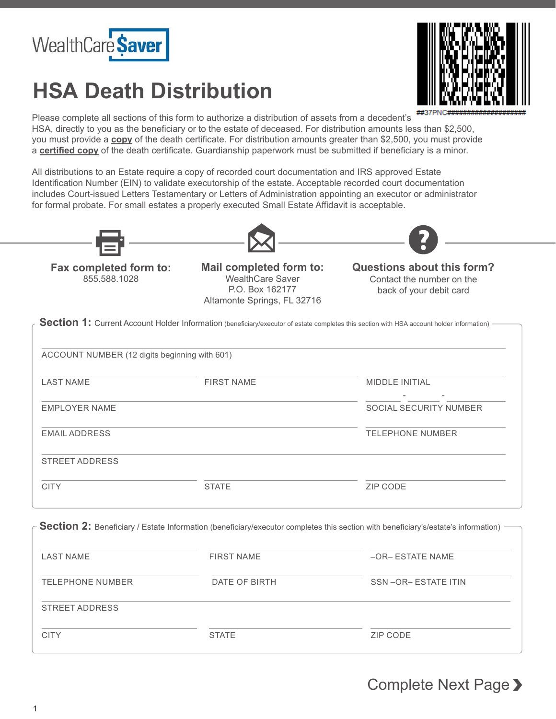

## **HSA Death Distribution**



Please complete all sections of this form to authorize a distribution of assets from a decedent's HSA, directly to you as the beneficiary or to the estate of deceased. For distribution amounts less than \$2,500, you must provide a **copy** of the death certificate. For distribution amounts greater than \$2,500, you must provide a **certified copy** of the death certificate. Guardianship paperwork must be submitted if beneficiary is a minor.

All distributions to an Estate require a copy of recorded court documentation and IRS approved Estate Identification Number (EIN) to validate executorship of the estate. Acceptable recorded court documentation includes Court-issued Letters Testamentary or Letters of Administration appointing an executor or administrator for formal probate. For small estates a properly executed Small Estate Affidavit is acceptable.







855.588.1028 **Fax completed form to:**

WealthCare Saver P.O. Box 162177 Altamonte Springs, FL 32716

Contact the number on the back of your debit card **Mail completed form to: Questions about this form?**

Section 1: Current Account Holder Information (beneficiary/executor of estate completes this section with HSA account holder information)

(12 digits beginning with 601) ACCOUNT NUMBER

| <b>LAST NAME</b>      | <b>FIRST NAME</b> | <b>MIDDLE INITIAL</b>   |
|-----------------------|-------------------|-------------------------|
|                       |                   |                         |
| <b>EMPLOYER NAME</b>  |                   | SOCIAL SECURITY NUMBER  |
| <b>EMAIL ADDRESS</b>  |                   | <b>TELEPHONE NUMBER</b> |
| <b>STREET ADDRESS</b> |                   |                         |
| <b>CITY</b>           | <b>STATE</b>      | ZIP CODE                |
|                       |                   |                         |

**Section 2:** Beneficiary / Estate Information (beneficiary/executor completes this section with beneficiary's/estate's information)

| <b>LAST NAME</b> | <b>FIRST NAME</b> | -OR- ESTATE NAME   |
|------------------|-------------------|--------------------|
| TELEPHONE NUMBER | DATE OF BIRTH     | SSN-OR-ESTATE ITIN |
| STREET ADDRESS   |                   |                    |
| <b>CITY</b>      | <b>STATE</b>      | ZIP CODE           |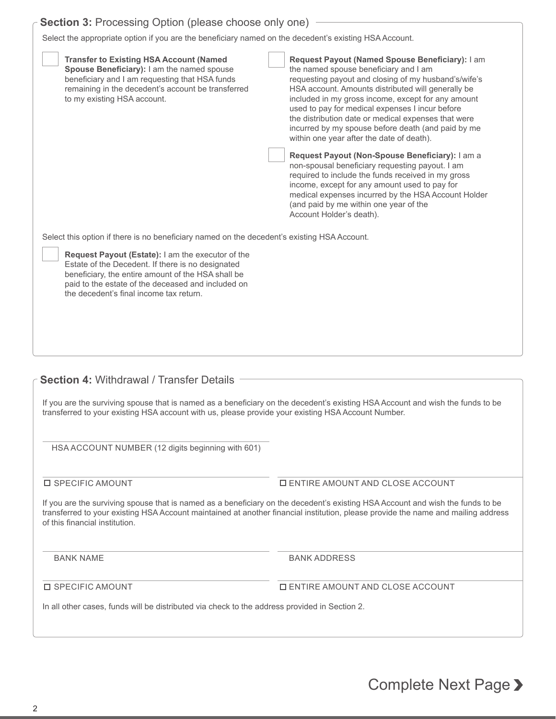|  | <b>Section 3: Processing Option (please choose only one)</b> |  |  |  |
|--|--------------------------------------------------------------|--|--|--|

Select the appropriate option if you are the beneficiary named on the decedent's existing HSA Account.

| <b>Transfer to Existing HSA Account (Named</b><br>Spouse Beneficiary): I am the named spouse<br>beneficiary and I am requesting that HSA funds<br>remaining in the decedent's account be transferred<br>to my existing HSA account.                                  | Request Payout (Named Spouse Beneficiary): I am<br>the named spouse beneficiary and I am<br>requesting payout and closing of my husband's/wife's<br>HSA account. Amounts distributed will generally be<br>included in my gross income, except for any amount<br>used to pay for medical expenses I incur before<br>the distribution date or medical expenses that were<br>incurred by my spouse before death (and paid by me<br>within one year after the date of death). |
|----------------------------------------------------------------------------------------------------------------------------------------------------------------------------------------------------------------------------------------------------------------------|---------------------------------------------------------------------------------------------------------------------------------------------------------------------------------------------------------------------------------------------------------------------------------------------------------------------------------------------------------------------------------------------------------------------------------------------------------------------------|
|                                                                                                                                                                                                                                                                      | Request Payout (Non-Spouse Beneficiary): I am a<br>non-spousal beneficiary requesting payout. I am<br>required to include the funds received in my gross<br>income, except for any amount used to pay for<br>medical expenses incurred by the HSA Account Holder<br>(and paid by me within one year of the<br>Account Holder's death).                                                                                                                                    |
| Select this option if there is no beneficiary named on the decedent's existing HSA Account.                                                                                                                                                                          |                                                                                                                                                                                                                                                                                                                                                                                                                                                                           |
| <b>Request Payout (Estate):</b> I am the executor of the<br>Estate of the Decedent. If there is no designated<br>beneficiary, the entire amount of the HSA shall be<br>paid to the estate of the deceased and included on<br>the decedent's final income tax return. |                                                                                                                                                                                                                                                                                                                                                                                                                                                                           |

## **Section 4:** Withdrawal / Transfer Details

If you are the surviving spouse that is named as a beneficiary on the decedent's existing HSA Account and wish the funds to be transferred to your existing HSA account with us, please provide your existing HSA Account Number.

HSA ACCOUNT NUMBER (12 digits beginning with 601)

## $\square$  SPECIFIC AMOUNT  $\square$  ENTIRE AMOUNT AND CLOSE ACCOUNT

If you are the surviving spouse that is named as a beneficiary on the decedent's existing HSA Account and wish the funds to be transferred to your existing HSA Account maintained at another financial institution, please provide the name and mailing address of this financial institution.

BANK NAME BANK ADDRESS

 $\square$  SPECIFIC AMOUNT  $\square$  ENTIRE AMOUNT AND CLOSE ACCOUNT

In all other cases, funds will be distributed via check to the address provided in Section 2.